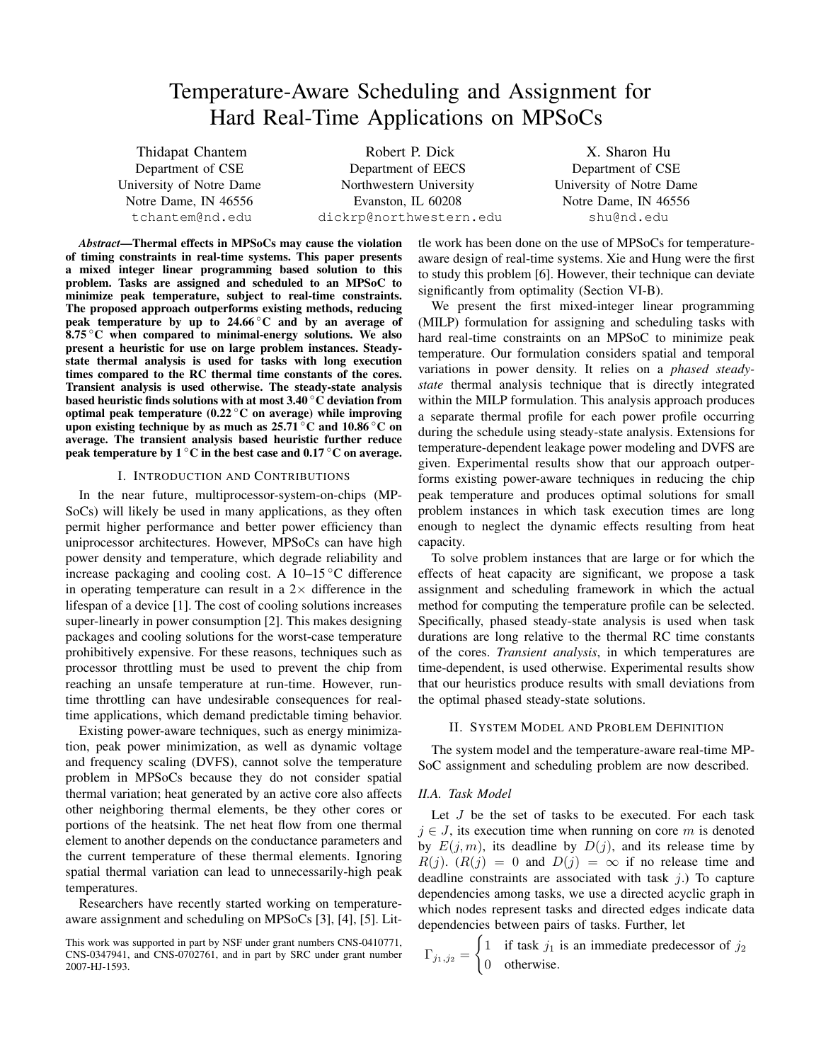# Temperature-Aware Scheduling and Assignment for Hard Real-Time Applications on MPSoCs

Thidapat Chantem Department of CSE University of Notre Dame Notre Dame, IN 46556 tchantem@nd.edu

Robert P. Dick Department of EECS Northwestern University Evanston, IL 60208 dickrp@northwestern.edu

X. Sharon Hu Department of CSE University of Notre Dame Notre Dame, IN 46556 shu@nd.edu

*Abstract*—Thermal effects in MPSoCs may cause the violation of timing constraints in real-time systems. This paper presents a mixed integer linear programming based solution to this problem. Tasks are assigned and scheduled to an MPSoC to minimize peak temperature, subject to real-time constraints. The proposed approach outperforms existing methods, reducing peak temperature by up to  $24.66\degree$ C and by an average of  $8.75\degree$ C when compared to minimal-energy solutions. We also present a heuristic for use on large problem instances. Steadystate thermal analysis is used for tasks with long execution times compared to the RC thermal time constants of the cores. Transient analysis is used otherwise. The steady-state analysis based heuristic finds solutions with at most 3.40 ◦C deviation from optimal peak temperature  $(0.22\degree C)$  on average) while improving upon existing technique by as much as  $25.71\degree$ C and  $10.86\degree$ C on average. The transient analysis based heuristic further reduce peak temperature by  $1^{\circ}$ C in the best case and 0.17  $^{\circ}$ C on average.

## I. INTRODUCTION AND CONTRIBUTIONS

In the near future, multiprocessor-system-on-chips (MP-SoCs) will likely be used in many applications, as they often permit higher performance and better power efficiency than uniprocessor architectures. However, MPSoCs can have high power density and temperature, which degrade reliability and increase packaging and cooling cost. A 10–15 ◦C difference in operating temperature can result in a  $2\times$  difference in the lifespan of a device [1]. The cost of cooling solutions increases super-linearly in power consumption [2]. This makes designing packages and cooling solutions for the worst-case temperature prohibitively expensive. For these reasons, techniques such as processor throttling must be used to prevent the chip from reaching an unsafe temperature at run-time. However, runtime throttling can have undesirable consequences for realtime applications, which demand predictable timing behavior.

Existing power-aware techniques, such as energy minimization, peak power minimization, as well as dynamic voltage and frequency scaling (DVFS), cannot solve the temperature problem in MPSoCs because they do not consider spatial thermal variation; heat generated by an active core also affects other neighboring thermal elements, be they other cores or portions of the heatsink. The net heat flow from one thermal element to another depends on the conductance parameters and the current temperature of these thermal elements. Ignoring spatial thermal variation can lead to unnecessarily-high peak temperatures.

Researchers have recently started working on temperatureaware assignment and scheduling on MPSoCs [3], [4], [5]. Little work has been done on the use of MPSoCs for temperatureaware design of real-time systems. Xie and Hung were the first to study this problem [6]. However, their technique can deviate significantly from optimality (Section VI-B).

We present the first mixed-integer linear programming (MILP) formulation for assigning and scheduling tasks with hard real-time constraints on an MPSoC to minimize peak temperature. Our formulation considers spatial and temporal variations in power density. It relies on a *phased steadystate* thermal analysis technique that is directly integrated within the MILP formulation. This analysis approach produces a separate thermal profile for each power profile occurring during the schedule using steady-state analysis. Extensions for temperature-dependent leakage power modeling and DVFS are given. Experimental results show that our approach outperforms existing power-aware techniques in reducing the chip peak temperature and produces optimal solutions for small problem instances in which task execution times are long enough to neglect the dynamic effects resulting from heat capacity.

To solve problem instances that are large or for which the effects of heat capacity are significant, we propose a task assignment and scheduling framework in which the actual method for computing the temperature profile can be selected. Specifically, phased steady-state analysis is used when task durations are long relative to the thermal RC time constants of the cores. *Transient analysis*, in which temperatures are time-dependent, is used otherwise. Experimental results show that our heuristics produce results with small deviations from the optimal phased steady-state solutions.

#### II. SYSTEM MODEL AND PROBLEM DEFINITION

The system model and the temperature-aware real-time MP-SoC assignment and scheduling problem are now described.

## *II.A. Task Model*

Let  $J$  be the set of tasks to be executed. For each task  $j \in J$ , its execution time when running on core m is denoted by  $E(j, m)$ , its deadline by  $D(j)$ , and its release time by  $R(j)$ .  $(R(j) = 0$  and  $D(j) = \infty$  if no release time and deadline constraints are associated with task  $j$ .) To capture dependencies among tasks, we use a directed acyclic graph in which nodes represent tasks and directed edges indicate data dependencies between pairs of tasks. Further, let

$$
\Gamma_{j_1,j_2} = \begin{cases} 1 & \text{if task } j_1 \text{ is an immediate predecessor of } j_2 \\ 0 & \text{otherwise.} \end{cases}
$$

This work was supported in part by NSF under grant numbers CNS-0410771, CNS-0347941, and CNS-0702761, and in part by SRC under grant number 2007-HJ-1593.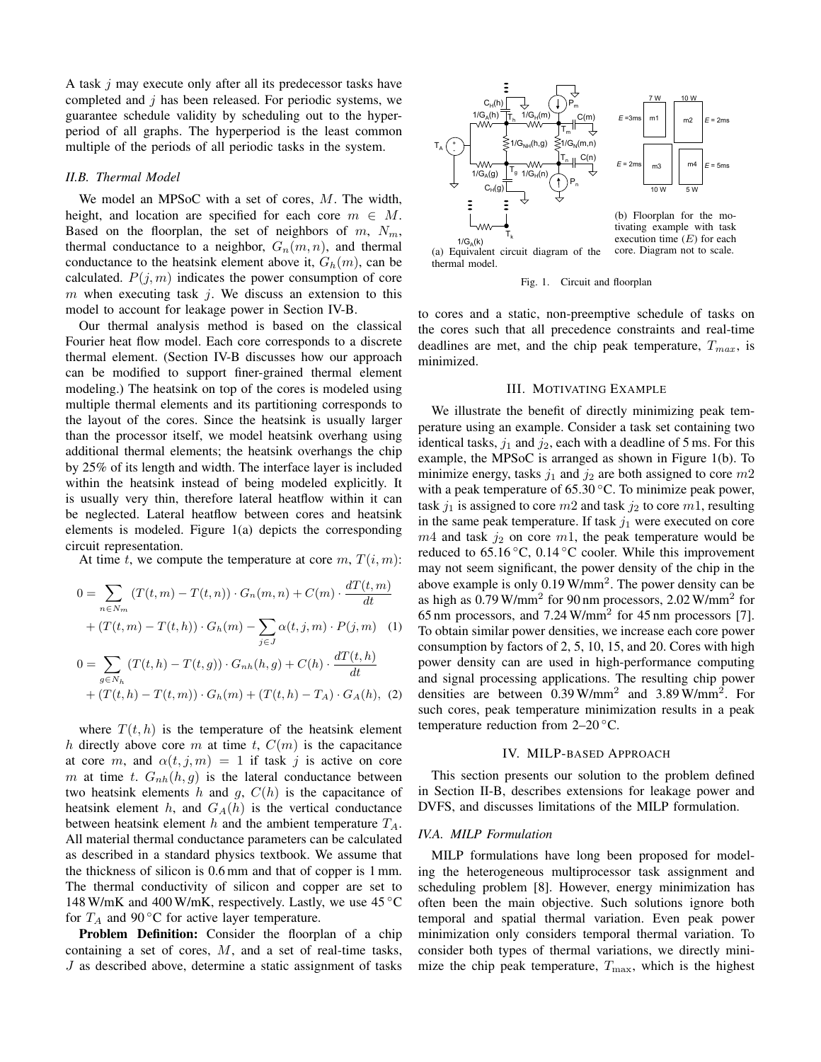A task j may execute only after all its predecessor tasks have completed and  $j$  has been released. For periodic systems, we guarantee schedule validity by scheduling out to the hyperperiod of all graphs. The hyperperiod is the least common multiple of the periods of all periodic tasks in the system.

# *II.B. Thermal Model*

We model an MPSoC with a set of cores, M. The width, height, and location are specified for each core  $m \in M$ . Based on the floorplan, the set of neighbors of  $m$ ,  $N_m$ , thermal conductance to a neighbor,  $G_n(m, n)$ , and thermal conductance to the heatsink element above it,  $G_h(m)$ , can be calculated.  $P(j, m)$  indicates the power consumption of core m when executing task j. We discuss an extension to this model to account for leakage power in Section IV-B.

Our thermal analysis method is based on the classical Fourier heat flow model. Each core corresponds to a discrete thermal element. (Section IV-B discusses how our approach can be modified to support finer-grained thermal element modeling.) The heatsink on top of the cores is modeled using multiple thermal elements and its partitioning corresponds to the layout of the cores. Since the heatsink is usually larger than the processor itself, we model heatsink overhang using additional thermal elements; the heatsink overhangs the chip by 25% of its length and width. The interface layer is included within the heatsink instead of being modeled explicitly. It is usually very thin, therefore lateral heatflow within it can be neglected. Lateral heatflow between cores and heatsink elements is modeled. Figure 1(a) depicts the corresponding circuit representation.

At time t, we compute the temperature at core  $m, T(i, m)$ :

$$
0 = \sum_{n \in N_m} (T(t, m) - T(t, n)) \cdot G_n(m, n) + C(m) \cdot \frac{dT(t, m)}{dt}
$$
  
+  $(T(t, m) - T(t, h)) \cdot G_h(m) - \sum_{j \in J} \alpha(t, j, m) \cdot P(j, m)$  (1)  

$$
0 = \sum_{g \in N_h} (T(t, h) - T(t, g)) \cdot G_{nh}(h, g) + C(h) \cdot \frac{dT(t, h)}{dt}
$$
  
+  $(T(t, h) - T(t, m)) \cdot G_h(m) + (T(t, h) - T_A) \cdot G_A(h),$  (2)

where  $T(t, h)$  is the temperature of the heatsink element h directly above core m at time t,  $C(m)$  is the capacitance at core m, and  $\alpha(t, j, m) = 1$  if task j is active on core m at time t.  $G_{nh}(h, g)$  is the lateral conductance between two heatsink elements h and g,  $C(h)$  is the capacitance of heatsink element h, and  $G_A(h)$  is the vertical conductance between heatsink element  $h$  and the ambient temperature  $T_A$ . All material thermal conductance parameters can be calculated as described in a standard physics textbook. We assume that the thickness of silicon is 0.6 mm and that of copper is 1 mm. The thermal conductivity of silicon and copper are set to 148 W/mK and 400 W/mK, respectively. Lastly, we use  $45^{\circ}$ C for  $T_A$  and 90 °C for active layer temperature.

Problem Definition: Consider the floorplan of a chip containing a set of cores,  $M$ , and a set of real-time tasks, J as described above, determine a static assignment of tasks



(a) Equivalent circuit diagram of the thermal model.

Fig. 1. Circuit and floorplan

to cores and a static, non-preemptive schedule of tasks on the cores such that all precedence constraints and real-time deadlines are met, and the chip peak temperature,  $T_{max}$ , is minimized.

## III. MOTIVATING EXAMPLE

We illustrate the benefit of directly minimizing peak temperature using an example. Consider a task set containing two identical tasks,  $j_1$  and  $j_2$ , each with a deadline of 5 ms. For this example, the MPSoC is arranged as shown in Figure 1(b). To minimize energy, tasks  $j_1$  and  $j_2$  are both assigned to core  $m2$ with a peak temperature of  $65.30\degree$ C. To minimize peak power, task  $j_1$  is assigned to core m2 and task  $j_2$  to core m1, resulting in the same peak temperature. If task  $j_1$  were executed on core  $m4$  and task  $j_2$  on core  $m1$ , the peak temperature would be reduced to  $65.16\,^{\circ}\text{C}$ ,  $0.14\,^{\circ}\text{C}$  cooler. While this improvement may not seem significant, the power density of the chip in the above example is only  $0.19 \text{ W/mm}^2$ . The power density can be as high as 0.79 W/mm<sup>2</sup> for 90 nm processors, 2.02 W/mm<sup>2</sup> for 65 nm processors, and  $7.24$  W/mm<sup>2</sup> for 45 nm processors [7]. To obtain similar power densities, we increase each core power consumption by factors of 2, 5, 10, 15, and 20. Cores with high power density can are used in high-performance computing and signal processing applications. The resulting chip power densities are between  $0.39$  W/mm<sup>2</sup> and  $3.89$  W/mm<sup>2</sup>. For such cores, peak temperature minimization results in a peak temperature reduction from  $2-20$  °C.

## IV. MILP-BASED APPROACH

This section presents our solution to the problem defined in Section II-B, describes extensions for leakage power and DVFS, and discusses limitations of the MILP formulation.

## *IV.A. MILP Formulation*

MILP formulations have long been proposed for modeling the heterogeneous multiprocessor task assignment and scheduling problem [8]. However, energy minimization has often been the main objective. Such solutions ignore both temporal and spatial thermal variation. Even peak power minimization only considers temporal thermal variation. To consider both types of thermal variations, we directly minimize the chip peak temperature,  $T_{\text{max}}$ , which is the highest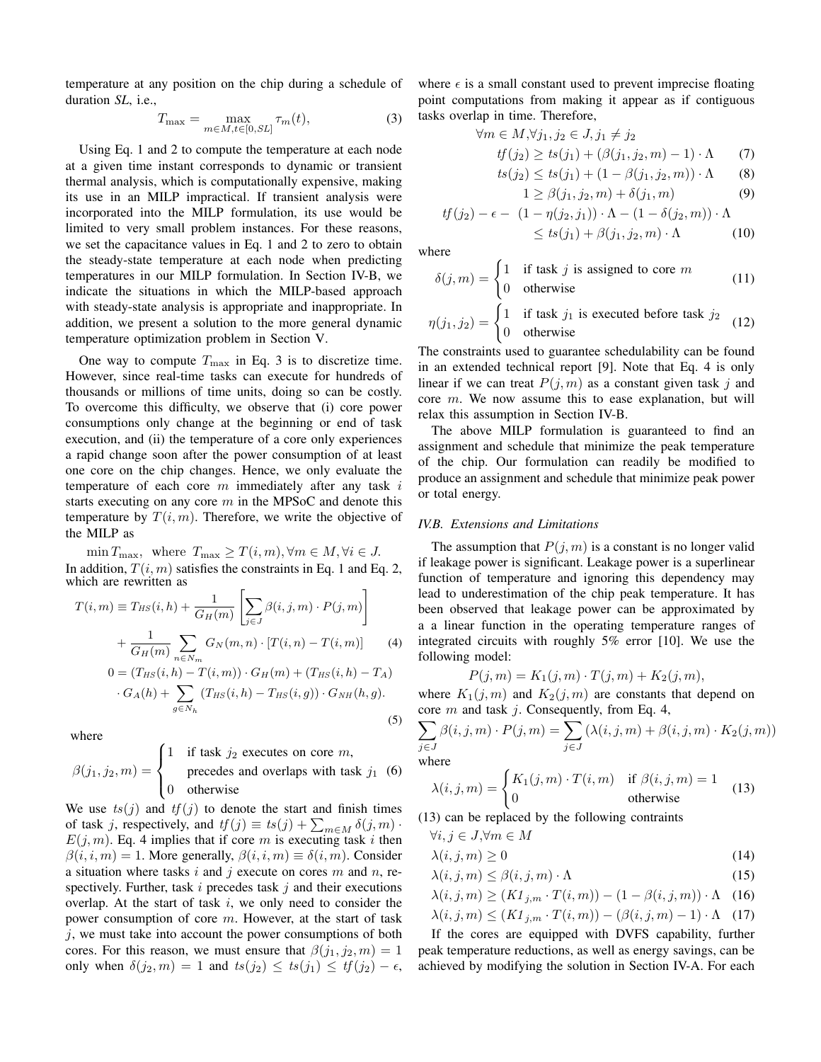temperature at any position on the chip during a schedule of duration *SL*, i.e.,

$$
T_{\max} = \max_{m \in M, t \in [0, SL]} \tau_m(t),\tag{3}
$$

Using Eq. 1 and 2 to compute the temperature at each node at a given time instant corresponds to dynamic or transient thermal analysis, which is computationally expensive, making its use in an MILP impractical. If transient analysis were incorporated into the MILP formulation, its use would be limited to very small problem instances. For these reasons, we set the capacitance values in Eq. 1 and 2 to zero to obtain the steady-state temperature at each node when predicting temperatures in our MILP formulation. In Section IV-B, we indicate the situations in which the MILP-based approach with steady-state analysis is appropriate and inappropriate. In addition, we present a solution to the more general dynamic temperature optimization problem in Section V.

One way to compute  $T_{\text{max}}$  in Eq. 3 is to discretize time. However, since real-time tasks can execute for hundreds of thousands or millions of time units, doing so can be costly. To overcome this difficulty, we observe that (i) core power consumptions only change at the beginning or end of task execution, and (ii) the temperature of a core only experiences a rapid change soon after the power consumption of at least one core on the chip changes. Hence, we only evaluate the temperature of each core  $m$  immediately after any task  $i$ starts executing on any core  $m$  in the MPSoC and denote this temperature by  $T(i, m)$ . Therefore, we write the objective of the MILP as

 $\min T_{\max}$ , where  $T_{\max} \geq T(i,m)$ ,  $\forall m \in M$ ,  $\forall i \in J$ . In addition,  $T(i, m)$  satisfies the constraints in Eq. 1 and Eq. 2, which are rewritten as

$$
T(i,m) \equiv T_{HS}(i,h) + \frac{1}{G_H(m)} \left[ \sum_{j \in J} \beta(i,j,m) \cdot P(j,m) \right]
$$

$$
+ \frac{1}{G_H(m)} \sum_{n \in N_m} G_N(m,n) \cdot [T(i,n) - T(i,m)] \tag{4}
$$

$$
0 = (T_{HS}(i,h) - T(i,m)) \cdot G_H(m) + (T_{HS}(i,h) - T_A)
$$

$$
0 = (I_{HS}(i, h) - I(i, m)) \cdot G_H(m) + (I_{HS}(i, h) - I_A)
$$
  
 
$$
\cdot G_A(h) + \sum_{g \in N_h} (T_{HS}(i, h) - T_{HS}(i, g)) \cdot G_{NH}(h, g).
$$
 (5)

where

$$
\beta(j_1, j_2, m) = \begin{cases}\n1 & \text{if task } j_2 \text{ executes on core } m, \\
0 & \text{precedes and overlaps with task } j_1 \tag{6}\n\end{cases}
$$

We use  $ts(j)$  and  $tf(j)$  to denote the start and finish times of task j, respectively, and  $tf(j) \equiv ts(j) + \sum_{m \in M} \delta(j,m)$ .  $E(j, m)$ . Eq. 4 implies that if core m is executing task i then  $\beta(i, i, m) = 1$ . More generally,  $\beta(i, i, m) \equiv \delta(i, m)$ . Consider a situation where tasks i and j execute on cores  $m$  and  $n$ , respectively. Further, task  $i$  precedes task  $j$  and their executions overlap. At the start of task  $i$ , we only need to consider the power consumption of core  $m$ . However, at the start of task  $j$ , we must take into account the power consumptions of both cores. For this reason, we must ensure that  $\beta(j_1, j_2, m) = 1$ only when  $\delta(j_2, m) = 1$  and  $ts(j_2) \leq ts(j_1) \leq tf(j_2) - \epsilon$ , where  $\epsilon$  is a small constant used to prevent imprecise floating point computations from making it appear as if contiguous tasks overlap in time. Therefore,

$$
\forall m \in M, \forall j_1, j_2 \in J, j_1 \neq j_2
$$
  
\n
$$
tf(j_2) \geq ts(j_1) + (\beta(j_1, j_2, m) - 1) \cdot \Lambda \qquad (7)
$$
  
\n
$$
ts(j_2) \leq ts(j_1) + (1 - \beta(j_1, j_2, m)) \cdot \Lambda \qquad (8)
$$

$$
1 \ge \beta(j_1, j_2, m) + \delta(j_1, m) \tag{9}
$$

$$
tf(j_2) - \epsilon - (1 - \eta(j_2, j_1)) \cdot \Lambda - (1 - \delta(j_2, m)) \cdot \Lambda
$$
  
\$\leq ts(j\_1) + \beta(j\_1, j\_2, m) \cdot \Lambda \qquad (10)\$

where

$$
\delta(j, m) = \begin{cases} 1 & \text{if task } j \text{ is assigned to core } m \\ 0 & \text{otherwise} \end{cases}
$$
 (11)

$$
\eta(j_1, j_2) = \begin{cases} 1 & \text{if task } j_1 \text{ is executed before task } j_2 \\ 0 & \text{otherwise} \end{cases}
$$
 (12)

The constraints used to guarantee schedulability can be found in an extended technical report [9]. Note that Eq. 4 is only linear if we can treat  $P(j, m)$  as a constant given task j and core  $m$ . We now assume this to ease explanation, but will relax this assumption in Section IV-B.

The above MILP formulation is guaranteed to find an assignment and schedule that minimize the peak temperature of the chip. Our formulation can readily be modified to produce an assignment and schedule that minimize peak power or total energy.

#### *IV.B. Extensions and Limitations*

The assumption that  $P(j, m)$  is a constant is no longer valid if leakage power is significant. Leakage power is a superlinear function of temperature and ignoring this dependency may lead to underestimation of the chip peak temperature. It has been observed that leakage power can be approximated by a a linear function in the operating temperature ranges of integrated circuits with roughly 5% error [10]. We use the following model:

$$
P(j,m) = K_1(j,m) \cdot T(j,m) + K_2(j,m),
$$

where  $K_1(j,m)$  and  $K_2(j,m)$  are constants that depend on core m and task j. Consequently, from Eq. 4,

$$
\sum_{j \in J} \beta(i, j, m) \cdot P(j, m) = \sum_{j \in J} (\lambda(i, j, m) + \beta(i, j, m) \cdot K_2(j, m))
$$
  
where

where

$$
\lambda(i,j,m) = \begin{cases} K_1(j,m) \cdot T(i,m) & \text{if } \beta(i,j,m) = 1\\ 0 & \text{otherwise} \end{cases}
$$
(13)

(13) can be replaced by the following contraints

$$
\forall i, j \in J, \forall m \in M
$$
  

$$
\lambda(i, j, m) > 0
$$
 (14)

$$
\lambda(i,j,m) \leq \beta(i,j,m) \cdot \Lambda \tag{15}
$$

$$
\lambda(i, j, m) \ge \beta(i, j, m) \quad \text{if}
$$
\n
$$
\lambda(i, j, m) > (K1_{i, m} \cdot T(i, m)) - (1 - \beta(i, j, m)) \cdot \Lambda \quad (16)
$$

$$
\lambda(i, j, m) \le (K1_{i,m} \cdot T(i, m)) - (K1_{i,m} \cdot T(i, m)) - (B(i, j, m) - 1) \cdot \Lambda
$$
 (17)

$$
\lambda(t, j, m) \leq (\Lambda T_{j,m} \cdot T(t, m)) = (\rho(t, j, m) - 1) \cdot \Lambda \quad (17)
$$

If the cores are equipped with DVFS capability, further peak temperature reductions, as well as energy savings, can be achieved by modifying the solution in Section IV-A. For each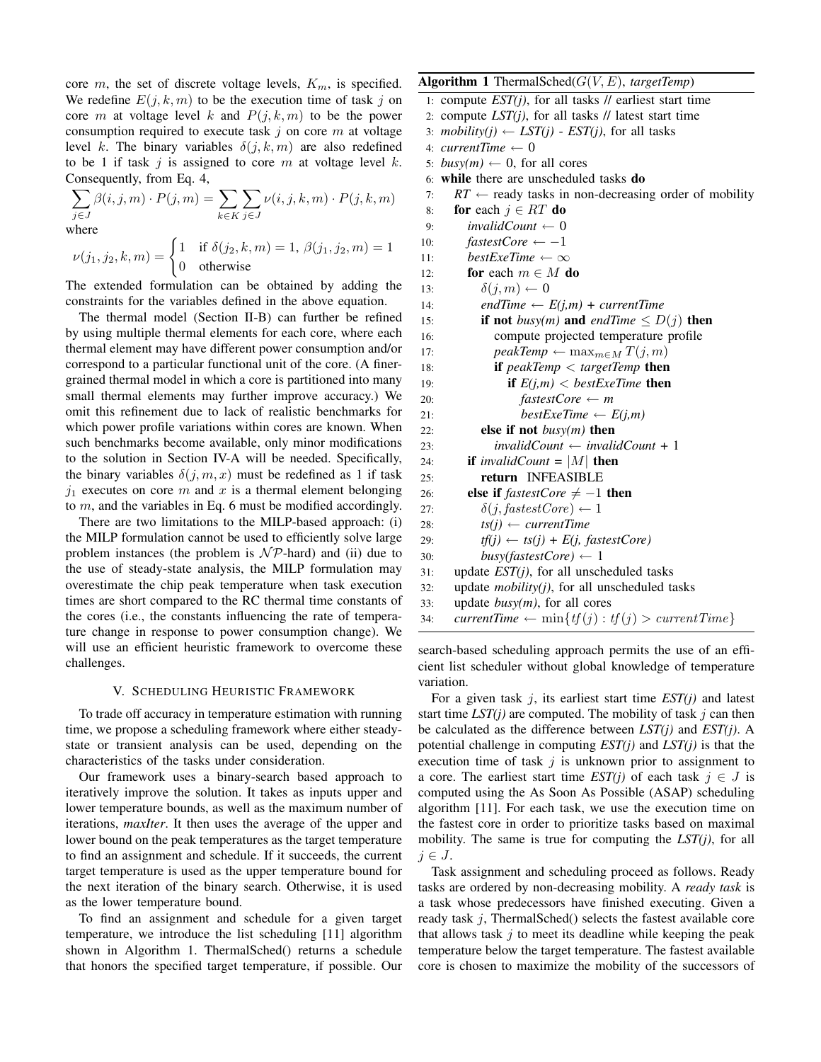core m, the set of discrete voltage levels,  $K_m$ , is specified. We redefine  $E(j, k, m)$  to be the execution time of task j on core m at voltage level k and  $P(j, k, m)$  to be the power consumption required to execute task  $j$  on core m at voltage level k. The binary variables  $\delta(j, k, m)$  are also redefined to be 1 if task  $j$  is assigned to core  $m$  at voltage level  $k$ . Consequently, from Eq. 4,

$$
\sum_{j \in J} \beta(i, j, m) \cdot P(j, m) = \sum_{k \in K} \sum_{j \in J} \nu(i, j, k, m) \cdot P(j, k, m)
$$
  
where

where

$$
\nu(j_1, j_2, k, m) = \begin{cases} 1 & \text{if } \delta(j_2, k, m) = 1, \, \beta(j_1, j_2, m) = 1 \\ 0 & \text{otherwise} \end{cases}
$$

The extended formulation can be obtained by adding the constraints for the variables defined in the above equation.

The thermal model (Section II-B) can further be refined by using multiple thermal elements for each core, where each thermal element may have different power consumption and/or correspond to a particular functional unit of the core. (A finergrained thermal model in which a core is partitioned into many small thermal elements may further improve accuracy.) We omit this refinement due to lack of realistic benchmarks for which power profile variations within cores are known. When such benchmarks become available, only minor modifications to the solution in Section IV-A will be needed. Specifically, the binary variables  $\delta(j, m, x)$  must be redefined as 1 if task  $j_1$  executes on core m and x is a thermal element belonging to  $m$ , and the variables in Eq. 6 must be modified accordingly.

There are two limitations to the MILP-based approach: (i) the MILP formulation cannot be used to efficiently solve large problem instances (the problem is  $N\mathcal{P}$ -hard) and (ii) due to the use of steady-state analysis, the MILP formulation may overestimate the chip peak temperature when task execution times are short compared to the RC thermal time constants of the cores (i.e., the constants influencing the rate of temperature change in response to power consumption change). We will use an efficient heuristic framework to overcome these challenges.

## V. SCHEDULING HEURISTIC FRAMEWORK

To trade off accuracy in temperature estimation with running time, we propose a scheduling framework where either steadystate or transient analysis can be used, depending on the characteristics of the tasks under consideration.

Our framework uses a binary-search based approach to iteratively improve the solution. It takes as inputs upper and lower temperature bounds, as well as the maximum number of iterations, *maxIter*. It then uses the average of the upper and lower bound on the peak temperatures as the target temperature to find an assignment and schedule. If it succeeds, the current target temperature is used as the upper temperature bound for the next iteration of the binary search. Otherwise, it is used as the lower temperature bound.

To find an assignment and schedule for a given target temperature, we introduce the list scheduling [11] algorithm shown in Algorithm 1. ThermalSched() returns a schedule that honors the specified target temperature, if possible. Our

## Algorithm 1 ThermalSched $(G(V, E),$  targetTemp)

1: compute  $EST(j)$ , for all tasks  $//$  earliest start time

- 2: compute *LST(j)*, for all tasks // latest start time
- 3: *mobility(j)*  $\leftarrow$  *LST(j) EST(j)*, for all tasks
- 4: *currentTime* ← 0
- 5:  $busv(m) \leftarrow 0$ , for all cores
- 6: while there are unscheduled tasks do
- 7:  $RT \leftarrow$  ready tasks in non-decreasing order of mobility
- 8: for each  $j \in RT$  do 9:  $invalidCount \leftarrow 0$ 10:  $fastestCore \leftarrow -1$ 11:  $bestExeTime \leftarrow \infty$ 12: **for** each  $m \in M$  **do** 13:  $\delta(j, m) \leftarrow 0$ 14: *endTime*  $\leftarrow E(j,m) + currentTime$ 15: **if not** *busy(m)* and *endTime*  $\leq D(j)$  **then** 16: compute projected temperature profile 17: *peakTemp* ←  $\max_{m \in M} T(j, m)$ 18: if *peakTemp* < *targetTemp* then 19: **if**  $E(j,m) < bestExeTime$  then 20:  $fasterCore \leftarrow m$ 21:  $\text{bestExeTime} \leftarrow E(j,m)$ 22: else if not *busy(m)* then 23: *invalidCount* ← *invalidCount* + 1 24: **if** *invalidCount* =  $|M|$  **then** 25: return INFEASIBLE 26: **else if**  $\text{fasterCore} \neq -1$  **then** 27:  $\delta(j, fastestCore) \leftarrow 1$ 28:  $ts(j) \leftarrow currentTime$ 29:  $tf(j) \leftarrow ts(j) + E(j, \text{fastestCore})$ 30:  $busy(fasterCore) \leftarrow 1$ 31: update *EST(j)*, for all unscheduled tasks 32: update *mobility(j)*, for all unscheduled tasks 33: update *busy(m)*, for all cores

34: *currentTime*  $\leftarrow \min\{tf(j): tf(j) > currentTime\}$ 

search-based scheduling approach permits the use of an efficient list scheduler without global knowledge of temperature variation.

For a given task j, its earliest start time *EST(j)* and latest start time  $LST(j)$  are computed. The mobility of task j can then be calculated as the difference between *LST(j)* and *EST(j)*. A potential challenge in computing *EST(j)* and *LST(j)* is that the execution time of task  $j$  is unknown prior to assignment to a core. The earliest start time  $EST(j)$  of each task  $j \in J$  is computed using the As Soon As Possible (ASAP) scheduling algorithm [11]. For each task, we use the execution time on the fastest core in order to prioritize tasks based on maximal mobility. The same is true for computing the *LST(j)*, for all  $j \in J$ .

Task assignment and scheduling proceed as follows. Ready tasks are ordered by non-decreasing mobility. A *ready task* is a task whose predecessors have finished executing. Given a ready task  $j$ , ThermalSched $($ ) selects the fastest available core that allows task  $j$  to meet its deadline while keeping the peak temperature below the target temperature. The fastest available core is chosen to maximize the mobility of the successors of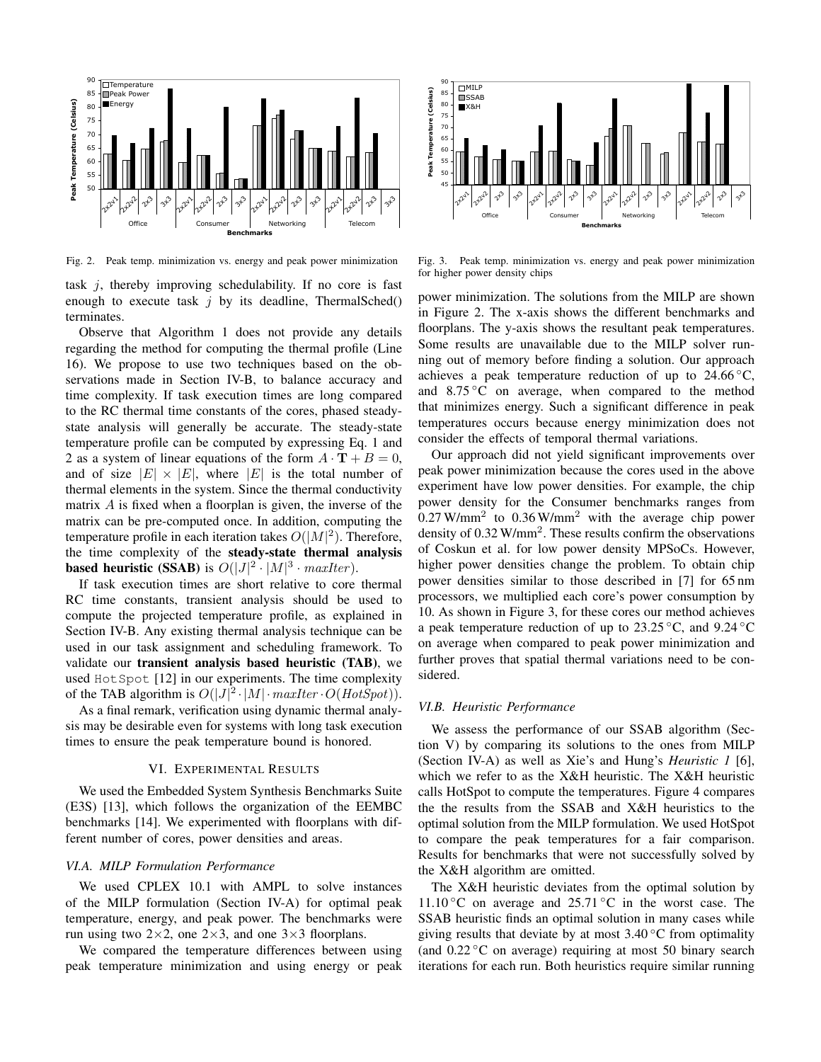

Fig. 2. Peak temp. minimization vs. energy and peak power minimization

task  $j$ , thereby improving schedulability. If no core is fast enough to execute task  $j$  by its deadline, ThermalSched() terminates.

Observe that Algorithm 1 does not provide any details regarding the method for computing the thermal profile (Line 16). We propose to use two techniques based on the observations made in Section IV-B, to balance accuracy and time complexity. If task execution times are long compared to the RC thermal time constants of the cores, phased steadystate analysis will generally be accurate. The steady-state temperature profile can be computed by expressing Eq. 1 and 2 as a system of linear equations of the form  $A \cdot T + B = 0$ , and of size  $|E| \times |E|$ , where  $|E|$  is the total number of thermal elements in the system. Since the thermal conductivity matrix A is fixed when a floorplan is given, the inverse of the matrix can be pre-computed once. In addition, computing the temperature profile in each iteration takes  $O(|M|^2)$ . Therefore, the time complexity of the steady-state thermal analysis **based heuristic (SSAB)** is  $O(|J|^2 \cdot |M|^3 \cdot \textit{maxIter})$ .

If task execution times are short relative to core thermal RC time constants, transient analysis should be used to compute the projected temperature profile, as explained in Section IV-B. Any existing thermal analysis technique can be used in our task assignment and scheduling framework. To validate our transient analysis based heuristic (TAB), we used HotSpot [12] in our experiments. The time complexity of the TAB algorithm is  $O(|J|^2 \cdot |M| \cdot \text{maxIter} \cdot O(\text{HotSpot}))$ .

As a final remark, verification using dynamic thermal analysis may be desirable even for systems with long task execution times to ensure the peak temperature bound is honored.

#### VI. EXPERIMENTAL RESULTS

We used the Embedded System Synthesis Benchmarks Suite (E3S) [13], which follows the organization of the EEMBC benchmarks [14]. We experimented with floorplans with different number of cores, power densities and areas.

# *VI.A. MILP Formulation Performance*

We used CPLEX 10.1 with AMPL to solve instances of the MILP formulation (Section IV-A) for optimal peak temperature, energy, and peak power. The benchmarks were run using two  $2\times 2$ , one  $2\times 3$ , and one  $3\times 3$  floorplans.

We compared the temperature differences between using peak temperature minimization and using energy or peak



Fig. 3. Peak temp. minimization vs. energy and peak power minimization for higher power density chips

power minimization. The solutions from the MILP are shown in Figure 2. The x-axis shows the different benchmarks and floorplans. The y-axis shows the resultant peak temperatures. Some results are unavailable due to the MILP solver running out of memory before finding a solution. Our approach achieves a peak temperature reduction of up to  $24.66\,^{\circ}\text{C}$ , and  $8.75\,^{\circ}\text{C}$  on average, when compared to the method that minimizes energy. Such a significant difference in peak temperatures occurs because energy minimization does not consider the effects of temporal thermal variations.

Our approach did not yield significant improvements over peak power minimization because the cores used in the above experiment have low power densities. For example, the chip power density for the Consumer benchmarks ranges from  $0.27$  W/mm<sup>2</sup> to  $0.36$  W/mm<sup>2</sup> with the average chip power density of 0.32 W/mm<sup>2</sup>. These results confirm the observations of Coskun et al. for low power density MPSoCs. However, higher power densities change the problem. To obtain chip power densities similar to those described in [7] for 65 nm processors, we multiplied each core's power consumption by 10. As shown in Figure 3, for these cores our method achieves a peak temperature reduction of up to  $23.25\,^{\circ}\text{C}$ , and  $9.24\,^{\circ}\text{C}$ on average when compared to peak power minimization and further proves that spatial thermal variations need to be considered.

#### *VI.B. Heuristic Performance*

We assess the performance of our SSAB algorithm (Section V) by comparing its solutions to the ones from MILP (Section IV-A) as well as Xie's and Hung's *Heuristic 1* [6], which we refer to as the X&H heuristic. The X&H heuristic calls HotSpot to compute the temperatures. Figure 4 compares the the results from the SSAB and X&H heuristics to the optimal solution from the MILP formulation. We used HotSpot to compare the peak temperatures for a fair comparison. Results for benchmarks that were not successfully solved by the X&H algorithm are omitted.

The X&H heuristic deviates from the optimal solution by 11.10 °C on average and  $25.71$  °C in the worst case. The SSAB heuristic finds an optimal solution in many cases while giving results that deviate by at most  $3.40\degree$ C from optimality (and  $0.22\degree$ C on average) requiring at most 50 binary search iterations for each run. Both heuristics require similar running